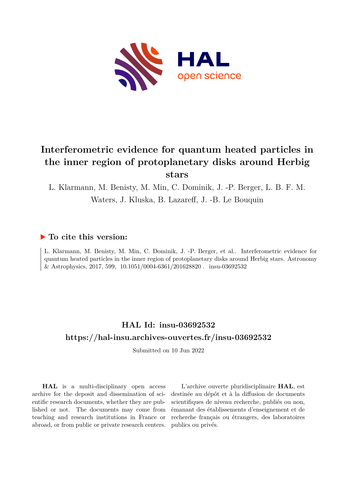

# **Interferometric evidence for quantum heated particles in the inner region of protoplanetary disks around Herbig stars**

L. Klarmann, M. Benisty, M. Min, C. Dominik, J. -P. Berger, L. B. F. M. Waters, J. Kluska, B. Lazareff, J. -B. Le Bouquin

### **To cite this version:**

L. Klarmann, M. Benisty, M. Min, C. Dominik, J. -P. Berger, et al.. Interferometric evidence for quantum heated particles in the inner region of protoplanetary disks around Herbig stars. Astronomy & Astrophysics, 2017, 599, 10.1051/0004-6361/201628820. insu-03692532

## **HAL Id: insu-03692532 <https://hal-insu.archives-ouvertes.fr/insu-03692532>**

Submitted on 10 Jun 2022

**HAL** is a multi-disciplinary open access archive for the deposit and dissemination of scientific research documents, whether they are published or not. The documents may come from teaching and research institutions in France or abroad, or from public or private research centers.

L'archive ouverte pluridisciplinaire **HAL**, est destinée au dépôt et à la diffusion de documents scientifiques de niveau recherche, publiés ou non, émanant des établissements d'enseignement et de recherche français ou étrangers, des laboratoires publics ou privés.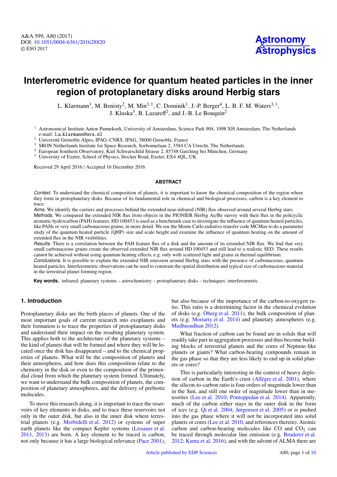## **Interferometric evidence for quantum heated particles in the inner region of protoplanetary disks around Herbig stars**

L. Klarmann<sup>1</sup>, M. Benisty<sup>2</sup>, M. Min<sup>3, 1</sup>, C. Dominik<sup>1</sup>, J.-P. Berger<sup>4</sup>, L. B. F. M. Waters<sup>3, 1</sup>, J. Kluska<sup>5</sup>, B. Lazareff<sup>2</sup>, and J.-B. Le Bouquin<sup>2</sup>

 $1$  Astronomical Institute Anton Pannekoek, University of Amsterdam, Science Park 904, 1098 XH Amsterdam, The Netherlands e-mail: l.a.klarmann@uva.nl

<sup>2</sup> Université Grenoble Alpes, IPAG; CNRS, IPAG, 38000 Grenoble, France

- <sup>3</sup> SRON Netherlands Institute for Space Research, Sorbonnelaan 2, 3584 CA Utrecht, The Netherlands
- <sup>4</sup> European Southern Observatory, Karl Schwarschild Strasse 2, 85748 Garching bei München, Germany
- <sup>5</sup> University of Exeter, School of Physics, Stocker Road, Exeter, EX4 4QL, UK

Received 29 April 2016 / Accepted 16 December 2016

#### **ABSTRACT**

Context. To understand the chemical composition of planets, it is important to know the chemical composition of the region where they form in protoplanetary disks. Because of its fundamental role in chemical and biological processes, carbon is a key element to trace.

Aims. We identify the carriers and processes behind the extended near-infrared (NIR) flux observed around several Herbig stars.

Methods. We compared the extended NIR flux from objects in the PIONIER Herbig Ae/Be survey with their flux in the policyclic aromatic hydrocarbon (PAH) features. HD 100453 is used as a benchmark case to investigate the influence of quantum heated particles, like PAHs or very small carbonaceous grains, in more detail. We use the Monte Carlo radiative transfer code MCMax to do a parameter study of the quantum heated particle (QHP) size and scale height and examine the influence of quantum heating on the amount of extended flux in the NIR visibilities.

Results. There is a correlation between the PAH feature flux of a disk and the amount of its extended NIR flux. We find that very small carbonaceous grains create the observed extended NIR flux around HD 100453 and still lead to a realistic SED. These results cannot be achieved without using quantum heating effects, e.g. only with scattered light and grains in thermal equilibrium. Conclusions. It is possible to explain the extended NIR emission around Herbig stars with the presence of carbonaceous, quantum heated particles. Interferometric observations can be used to constrain the spatial distribution and typical size of carbonaceous material

in the terrestrial planet forming region.

**Key words.** infrared: planetary systems – astrochemistry – protoplanetary disks – techniques: interferometric

#### **1. Introduction**

Protoplanetary disks are the birth places of planets. One of the most important goals of current research into exoplanets and their formation is to trace the properties of protoplanetary disks and understand their impact on the resulting planetary system. This applies both to the architecture of the planetary systems – the kind of planets that will be formed and where they will be located once the disk has disappeared – and to the chemical properties of planets. What will be the composition of planets and their atmospheres, and how does this composition relate to the chemistry in the disk or even to the composition of the primordial cloud from which the planetary system formed. Ultimately, we want to understand the bulk composition of planets, the composition of planetary atmospheres, and the delivery of prebiotic molecules.

To move this research along, it is important to trace the reservoirs of key elements in disks, and to trace these reservoirs not only in the outer disk, but also in the inner disk where terrestrial planets (e.g. Morbidelli et al. 2012) or systems of super earth planets like the compact Kepler systems (Lissauer et al. 2011, 2013) are born. A key element to be traced is carbon, not only because it has a large biological relevance (Pace 2001),

but also because of the importance of the carbon-to-oxygen ratio. This ratio is a determining factor in the chemical evolution of disks (e.g. Öberg et al. 2011), the bulk composition of planets (e.g. Moriarty et al. 2014) and planetary atmospheres (e.g. Madhusudhan 2012).

What fraction of carbon can be found are in solids that will readily take part in aggregation processes and thus become building blocks of terrestrial planets and the cores of Neptune-like planets or giants? What carbon-bearing compounds remain in the gas phase so that they are less likely to end up in solid planets or cores?

This is particularly interesting in the context of heavy depletion of carbon in the Earth's crust (Allègre et al. 2001), where the silicon-to-carbon ratio is four orders of magnitude lower than in the Sun, and still one order of magnitude lower than in meteorites (Lee et al. 2010; Pontoppidan et al. 2014). Apparently, much of the carbon either stays in the outer disk in the form of ices (e.g. Qi et al. 2004; Jørgensen et al. 2005) or is pushed into the gas phase where it will not be incorporated into solid planets or cores (Lee et al. 2010, and references therein). Atomic carbon and carbon-bearing molecules like  $CO$  and  $CO<sub>2</sub>$  can be traced through molecular line emission (e.g. Bruderer et al. 2012; Kama et al. 2016), and with the advent of ALMA there are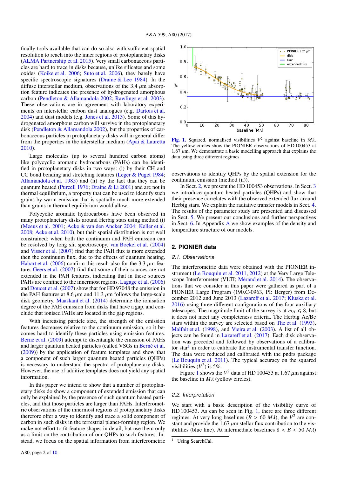finally tools available that can do so also with sufficient spatial resolution to reach into the inner regions of protoplanetary disks (ALMA Partnership et al. 2015). Very small carbonaceous particles are hard to trace in disks because, unlike silicates and some oxides (Koike et al. 2006; Suto et al. 2006), they barely have specific spectroscopic signatures (Draine & Lee 1984). In the diffuse interstellar medium, observations of the 3.4  $\mu$ m absorption feature indicates the presence of hydrogenated amorphous carbon (Pendleton & Allamandola 2002; Rawlings et al. 2003). These observations are in agreement with laboratory experiments on interstellar carbon dust analogues (e.g. Dartois et al. 2004) and dust models (e.g. Jones et al. 2013). Some of this hydrogenated amorphous carbon will survive in the protoplanetary disk (Pendleton & Allamandola 2002), but the properties of carbonaceous particles in protoplanetary disks will in general differ from the properties in the interstellar medium (Apai & Lauretta 2010).

Large molecules (up to several hundred carbon atoms) like polycyclic aromatic hydrocarbons (PAHs) can be identified in protoplanetary disks in two ways: (i) by their CH and CC bond bending and stretching features (Leger & Puget 1984; Allamandola et al. 1985) and (ii) by the fact that they can be quantum heated (Purcell 1976; Draine & Li 2001) and are not in thermal equilibrium, a property that can be used to identify such grains by warm emission that is spatially much more extended than grains in thermal equilibrium would allow.

Polycyclic aromatic hydrocarbons have been observed in many protoplanetary disks around Herbig stars using method (i) (Meeus et al. 2001; Acke & van den Ancker 2004; Keller et al. 2008; Acke et al. 2010), but their spatial distribution is not well constrained: when both the continuum and PAH emission can be resolved by long slit spectroscopy, van Boekel et al. (2004) and Visser et al. (2007) find that the PAH flux is more extended then the continuum flux, due to the effects of quantum heating. Habart et al. (2006) confirm this result also for the 3.3  $\mu$ m feature. Geers et al. (2007) find that some of their sources are not extended in the PAH features, indicating that in these sources PAHs are confined to the innermost regions. Lagage et al. (2006) and Doucet et al. (2007) show that for HD 97048 the emission in the PAH features at 8.6  $\mu$ m and 11.3  $\mu$ m follows the large-scale disk geometry. Maaskant et al. (2014) determine the ionisation degree of the PAH emission from disks that have a gap, and conclude that ionised PAHs are located in the gap regions.

With increasing particle size, the strength of the emission features decreases relative to the continuum emission, so it becomes hard to identify these particles using emission features. Berné et al. (2009) attempt to disentangle the emission of PAHs and larger quantum heated particles (called VSGs in Berné et al. (2009)) by the application of feature templates and show that a component of such larger quantum heated particles (QHPs) is necessary to understand the spectra of protoplanetary disks. However, the use of additive templates does not yield any spatial information.

In this paper we intend to show that a number of protoplanetary disks do show a component of extended emission that can only be explained by the presence of such quantum heated particles, and that those particles are larger than PAHs. Interferometric observations of the innermost regions of protoplanetary disks therefore offer a way to identify and trace a solid component of carbon in such disks in the terrestrial planet-forming region. We make not effort to fit feature shapes in detail, but use them only as a limit on the contribution of our QHPs to such features. Instead, we focus on the spatial information from interferometric



**[Fig. 1.](http://dexter.edpsciences.org/applet.php?DOI=10.1051/0004-6361/201628820&pdf_id=1)** Squared, normalised visibilities  $V^2$  against baseline in  $M\lambda$ .<br>The vellow circles show the PIONIER observations of HD 100453 at The yellow circles show the PIONIER observations of HD 100453 at 1.67  $\mu$ m. We demonstrate a basic modelling approach that explains the data using three different regimes.

observations to identify QHPs by the spatial extension for the continuum emission (method (ii)).

In Sect. 2, we present the HD 100453 observations. In Sect. 3 we introduce quantum heated particles (QHPs) and show that their presence correlates with the observed extended flux around Herbig stars. We explain the radiative transfer models in Sect. 4. The results of the parameter study are presented and discussed in Sect. 5. We present our conclusions and further perspectives in Sect. 6. In Appendix A we show examples of the density and temperature structure of our models.

#### **2. PIONIER data**

#### 2.1. Observations

The interferometric data were obtained with the PIONIER instrument (Le Bouquin et al. 2011, 2012) at the Very Large Telescope Interferometer (VLTI; Mérand et al. 2014). The observations that we consider in this paper were gathered as part of a PIONIER Large Program (190.C-0963, PI: Berger) from December 2012 and June 2013 (Lazareff et al. 2017; Kluska et al. 2016) using three different configurations of the four auxiliary telescopes. The magnitude limit of the survey is at  $m_H \le 8$ , but it does not meet any completeness criteria. The Herbig Ae/Be stars within the survey are selected based on The et al. (1993), Malfait et al. (1998), and Vieira et al. (2003). A list of all objects can be found in Lazareff et al. (2017). Each disk observation was preceded and followed by observations of a calibrator star<sup>1</sup> in order to calibrate the instrumental transfer function. The data were reduced and calibrated with the pndrs package (Le Bouquin et al. 2011). The typical accuracy on the squared visibilities  $(V^2)$  is 5%.

Figure 1 shows the  $V^2$  data of HD 100453 at 1.67  $\mu$ m against baseline in *M<sub>d</sub>* (vellow circles) the baseline in *<sup>M</sup>*λ (yellow circles).

#### 2.2. Interpretation

We start with a basic description of the visibility curve of HD 100453. As can be seen in Fig. 1, there are three different regimes. At very long baselines  $(B > 60 M\lambda)$ , the  $V^2$  are constant and provide the 1.67 *u*m stellar flux contribution to the visstant and provide the  $1.67 \mu m$  stellar flux contribution to the visibilities (blue line). At intermediate baselines  $8 < B < 50$  *M* $\lambda$ )

Using SearchCal.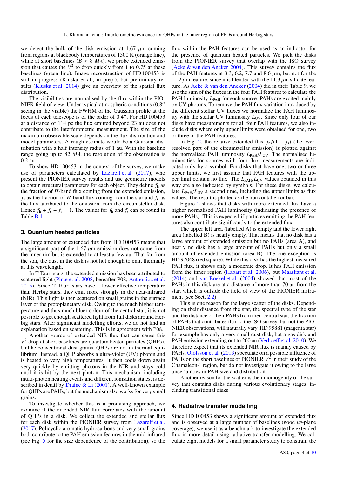we detect the bulk of the disk emission at 1.67  $\mu$ m coming from regions at blackbody temperatures of 1500 K (orange line), while at short baselines ( $B < 8$  *M* $\lambda$ ), we probe extended emission that causes the  $V^2$  to drop quickly from 1 to 0.75 at these baselines (green line). Image reconstruction of HD 100453 is still in progress (Kluska et al., in prep.), but preliminary results (Kluska et al. 2014) give an overview of the spatial flux distribution.

The visibilities are normalised by the flux within the PIO-NIER field of view. Under typical atmospheric conditions  $(0.8<sup>′</sup>)$ seeing in the visible) the FWHM of the Gaussian profile at the focus of each telescope is of the order of  $0.4$ ". For HD 100453 at a distance of 114 pc the flux emitted beyond 23 au does not contribute to the interferometric measurement. The size of the maximum observable scale depends on the flux distribution and model parameters. A rough estimate would be a Gaussian distribution with a half intensity radius of 1 au. With the baseline range going up to 82  $M\lambda$ , the resolution of the observation is 0.2 au.

To show HD 100453 in the context of the survey, we make use of parameters calculated by Lazareff et al. (2017), who present the PIONIER survey results and use geometric models to obtain structural parameters for each object. They define *f*<sup>h</sup> as the fraction of *H*-band flux coming from the extended emission,  $f<sub>s</sub>$  as the fraction of *H*-band flux coming from the star and  $f<sub>c</sub>$  as the flux attributed to the emission from the circumstellar disk. Hence  $f_h + f_c + f_s = 1$ . The values for  $f_h$  and  $f_s$  can be found in Table B.1.

#### **3. Quantum heated particles**

The large amount of extended flux from HD 100453 means that a significant part of the 1.67  $\mu$ m emission does not come from the inner rim but is extended to at least a few au. That far from the star, the dust in the disk is not hot enough to emit thermally at this wavelength.

In T Tauri stars, the extended emission has been attributed to scattered light (Pinte et al. 2008, hereafter P08; Anthonioz et al. 2015). Since T Tauri stars have a lower effective temperature than Herbig stars, they emit more strongly in the near-infrared (NIR). This light is then scattered on small grains in the surface layer of the protoplanetary disk. Owing to the much higher temperature and thus much bluer colour of the central star, it is not possible to get enough scattered light from full disks around Herbig stars. After significant modelling efforts, we do not find an explanation based on scattering. This is in agreement with P08.

Another source of extended NIR flux that can cause this *V* <sup>2</sup> drop at short baselines are quantum heated particles (QHPs). Unlike conventional dust grains, QHPs are not in thermal equilibrium. Instead, a QHP absorbs a ultra-violet (UV) photon and is heated to very high temperatures. It then cools down again very quickly by emitting photons in the NIR and stays cold until it is hit by the next photon. This mechanism, including multi-photon heating events and different ionisation states, is described in detail by Draine & Li  $(2001)$ . A well-known example for QHPs are PAHs, but the mechanism also works for very small grains.

To investigate whether this is a promising approach, we examine if the extended NIR flux correlates with the amount of QHPs in a disk. We collect the extended and stellar flux for each disk within the PIONIER survey from Lazareff et al. (2017). Policyclic aromatic hydrocarbons and very small grains both contribute to the PAH emission features in the mid-infrared (see Fig. 5 for the size dependence of the contribution), so the

flux within the PAH features can be used as an indicator for the presence of quantum heated particles. We pick the disks from the PIONIER survey that overlap with the ISO survey (Acke & van den Ancker 2004). This survey contains the flux of the PAH features at 3.3, 6.2, 7.7 and 8.6  $\mu$ m, but not for the 11.2  $\mu$ m feature, since it is blended with the 11.3  $\mu$ m silicate feature. As Acke & van den Ancker (2004) did in their Table 9, we use the sum of the fluxes in the four PAH features to calculate the PAH luminosity  $L_{PAH}$  for each source. PAHs are excited mainly by UV photons. To remove the PAH flux variation introduced by the different stellar UV fluxes we normalize the PAH luminosity with the stellar UV luminosity  $L_{UV}$ . Since only four of our disks have measurements for all four PAH features, we also include disks where only upper limits were obtained for one, two or three of the PAH features.

In Fig. 2, the relative extended flux  $f_h/(1 - f_s)$  (the overresolved part of the circumstellar emission) is plotted against the normalised PAH luminosity  $L_{PAH}/L_{UV}$ . The normalised luminosities for sources with four flux measurements are indicated only by a symbol. For disks that have one, two or three upper limits, we first assume that PAH features with the upper limit contain no flux. The  $L_{PAH}/L_{UV}$  values obtained in this way are also indicated by symbols. For these disks, we calculate  $L_{\text{PAH}}/L_{\text{UV}}$  a second time, including the upper limits as flux values. The result is plotted as the horizontal error bar.

Figure 2 shows that disks with more extended flux have a higher normalised PAH luminosity (indicating the presence of more PAHs). This is expected if particles emitting the PAH features also contribute significantly to the extended flux.

The upper left area (labelled A) is empty and the lower right area (labelled B) is nearly empty. That means that no disk has a large amount of extended emission but no PAHs (area A), and nearly no disk has a large amount of PAHs but only a small amount of extended emission (area B). The one exception is HD 97048 (red square). While this disk has the highest measured PAH flux, it shows only a moderate drop. It has PAH emission from the inner region (Habart et al. 2006), but Maaskant et al. (2014) and van Boekel et al. (2004) showed that most of the PAHs in this disk are at a distance of more than 70 au from the star, which is outside the field of view of the PIONIER instrument (see Sect. 2.2).

This is one reason for the large scatter of the disks. Depending on their distance from the star, the spectral type of the star and the distance of their PAHs from their central star, the fraction of PAHs that contributes flux to the ISO survey, but not the PIO-NIER observations, will naturally vary. HD 95881 (magenta star) for example has only a very small dust disk, but a gas disk and PAH emission extending out to 200 au (Verhoeff et al. 2010). We therefore expect that its extended NIR flux is mainly caused by PAHs. Olofsson et al. (2013) speculate on a possible influence of PAHs on the short baselines of PIONIER  $V^2$  in their study of the Chamaleon-I region, but do not investigate it owing to the large uncertainties in PAH size and distribution.

Another reason for the scatter is the inhomogenity of the survey that contains disks during various evolutionary stages, including transitional disks.

#### **4. Radiative transfer modelling**

Since HD 100453 shows a significant amount of extended flux and is observed at a large number of baselines (good *<sup>u</sup>*v-plane coverage), we use it as a benchmark to investigate the extended flux in more detail using radiative transfer modelling. We calculate eight models for a small parameter study to constrain the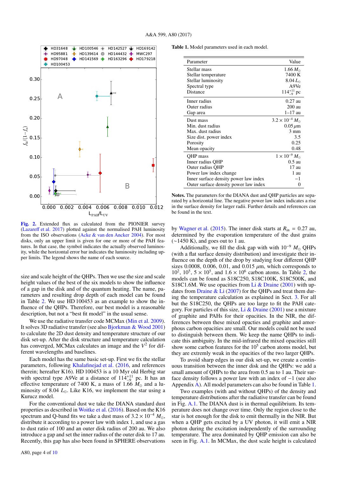

[Fig. 2.](http://dexter.edpsciences.org/applet.php?DOI=10.1051/0004-6361/201628820&pdf_id=2) Extended flux as calculated from the PIONIER survey (Lazareff et al. 2017) plotted against the normalised PAH luminosity from the ISO observations (Acke & van den Ancker 2004). For most disks, only an upper limit is given for one or more of the PAH features. In that case, the symbol indicates the actually observed luminosity, while the horizontal error bar indicates the luminosity including upper limits. The legend shows the name of each source.

size and scale height of the QHPs. Then we use the size and scale height values of the best of the six models to show the influence of a gap in the disk and of the quantum heating. The name, parameters and resulting drop depth of each model can be found in Table 2. We use HD 100453 as an example to show the influence of the QHPs. Therefore, our best model is a reasonable description, but not a "best fit model" in the usual sense.

We use the radiative transfer code MCMax (Min et al. 2009). It solves 3D radiative transfer (see also Bjorkman & Wood 2001) to calculate the 2D dust density and temperature structure of our disk set-up. After the disk structure and temperature calculation has converged, MCMax calculates an image and the  $V^2$  for different wavelengths and baselines.

Each model has the same basic set-up. First we fix the stellar parameters, following Khalafinejad et al. (2016, and references therein; hereafter K16). HD 100453 is a 10 Myr old Herbig star with spectral type A9Ve at a distance of  $114_{-9}^{+11}$  pc. It has an effective temperature of 7400 K, a mass of 1.66  $M_{\odot}$  and a luminosity of 8.04 *L*<sub>o</sub>. Like K16, we implement the star using a Kurucz model.

For the conventional dust we take the DIANA standard dust properties as described in Woitke et al. (2016). Based on the K16 spectrum and Q-band fits we take a dust mass of  $3.2 \times 10^{-4}$   $M_{\odot}$ , distribute it according to a power law with index 1, and use a gas to dust ratio of 100 and an outer disk radius of 200 au. We also introduce a gap and set the inner radius of the outer disk to 17 au. Recently, this gap has also been found in SPHERE observations

Table 1. Model parameters used in each model.

| Parameter                             | Value                          |
|---------------------------------------|--------------------------------|
| Stellar mass                          | $1.66 M_{\odot}$               |
| Stellar temperature                   | 7400 K                         |
| Stellar luminosity                    | $8.04 L_{\odot}$               |
| Spectral type                         | A9Ve                           |
| Distance                              | $114^{+11}_{-9}$ pc            |
| Inner radius                          | $0.27$ au                      |
| Outer radius                          | 200 au                         |
| Gap area                              | $1-17$ au                      |
| Dust mass                             | $3.2 \times 10^{-4} M_{\odot}$ |
| Min. dust radius                      | $0.05 \mu m$                   |
| Max. dust radius                      | $3 \text{ mm}$                 |
| Size dist. power index                | 3.5                            |
| Porosity                              | 0.25                           |
| Mean opacity                          | 0.48                           |
| QHP mass                              | $1 \times 10^{-9} M_{\odot}$   |
| Inner radius QHP                      | $0.5 \text{ au}$               |
| Outer radius QHP                      | 17 au                          |
| Power law index change                | 1 au                           |
| Inner surface density power law index | -1                             |
| Outer surface density power law index | $\theta$                       |

Notes. The parameters for the DIANA dust and QHP particles are separated by a horizontal line. The negative power law index indicates a rise in the surface density for larger radii. Further details and references can be found in the text.

by Wagner et al. (2015). The inner disk starts at  $R_{\text{in}} = 0.27$  au, determined by the evaporation temperature of the dust grains  $(\sim 1450 \text{ K})$ , and goes out to 1 au.

Additionally, we fill the disk gap with with  $10^{-9}$   $M_{\odot}$  QHPs (with a flat surface density distribution) and investigate their influence on the depth of the drop by studying four different QHP sizes 0.0008, 0.006, 0.01, and 0.015  $\mu$ m, which corresponds to  $10^2$ ,  $10^5$ ,  $5 \times 10^5$ , and  $1.6 \times 10^6$  carbon atoms. In Table 2, the models can be found as S18C250, S18C100K, S18C500K, and models can be found as S18C250, S18C100K, S18C500K, and S18C1.6M. We use opacities from Li  $&$  Draine (2001) with updates from Draine  $& Li(2007)$  for the OHPs and treat them during the temperature calculation as explained in Sect. 3. For all but the S18C250, the QHPs are too large to fit the PAH category. For particles of this size, Li  $\&$  Draine (2001) use a mixture of graphite and PAHs for their opacities. In the NIR, the differences between these mixed opacties and graphite and amorphous carbon opacities are small. Our models could not be used to distinguish between them. We keep the name QHPs to indicate this ambiguity. In the mid-infrared the mixed opacities still show some carbon features for the  $10<sup>5</sup>$  carbon atoms model, but they are extremly weak in the opacities of the two larger QHPs.

To avoid sharp edges in our disk set-up, we create a continuous transition between the inner disk and the QHPs: we add a small amount of QHPs to the area from 0.5 au to 1 au. Their surface density follows a power law with an index of −1 (see also Appendix A). All model parameters can also be found in Table 1.

Two examples (with and without QHPs) of the density and temperature distributions after the radiative transfer can be found in Fig. A.1. The DIANA dust is in thermal equilibrium. Its temperature does not change over time. Only the region close to the star is hot enough for the disk to emit thermally in the NIR. But when a QHP gets excited by a UV photon, it will emit a NIR photon during the excitation independently of the surrounding temperature. The area dominated by QHP emission can also be seen in Fig. A.1. In MCMax, the dust scale height is calculated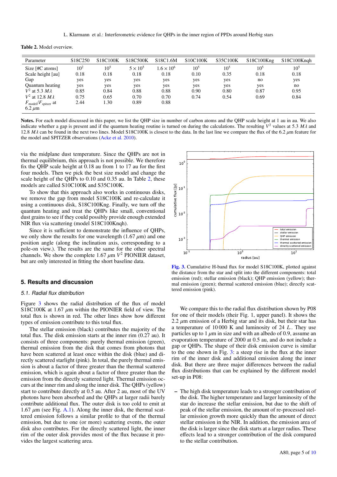L. Klarmann et al.: Interferometric evidence for QHPs in the inner region of PPDs around Herbig stars

Table 2. Model overview.

| Parameter                                | S18C250  | S18C100K        | S18C500K        | S18C1.6M            | S10C100K        | S35C100K | S18C100Kng | S18C100Kngh |
|------------------------------------------|----------|-----------------|-----------------|---------------------|-----------------|----------|------------|-------------|
| Size $[$ #C atoms $]$                    | $10^{2}$ | 10 <sup>5</sup> | $5 \times 10^5$ | $1.6 \times 10^{6}$ | 10 <sup>5</sup> | $10^{5}$ | $10^{5}$   | $10^{5}$    |
| Scale height [au]                        | 0.18     | 0.18            | 0.18            | 0.18                | 0.10            | 0.35     | 0.18       | 0.18        |
| Gap                                      | yes      | yes             | yes             | yes                 | yes             | yes      | no         | yes         |
| <b>Ouantum</b> heating                   | yes      | yes             | yes             | yes                 | yes             | yes      | yes        | no          |
| $V^2$ at 5.3 $M\lambda$                  | 0.85     | 0.84            | 0.88            | 0.88                | 0.90            | 0.80     | 0.87       | 0.95        |
| $V^2$ at 12.8 $M\lambda$                 | 0.75     | 0.65            | 0.70            | 0.70                | 0.74            | 0.54     | 0.69       | 0.84        |
| $F_{\text{model}}/F_{\text{spitzer}}$ at | 2.44     | 1.30            | 0.89            | 0.88                |                 |          |            |             |
| $6.2 \mu m$                              |          |                 |                 |                     |                 |          |            |             |

Notes. For each model discussed in this paper, we list the QHP size in number of carbon atoms and the QHP scale height at 1 au in au. We also indicate whether a gap is present and if the quantum heating routine is turned on during the calculations. The resulting  $V^2$  values at 5.3  $M\lambda$  and  $12.8 M\lambda$  can be found in the next two lines. Model S18C100K is closes 12.8 *Mλ* can be found in the next two lines. Model S18C100K is closest to the data. In the last line we compare the flux of the 6.2 μm feature for the model and SPITZER observations (Acke et al. 2010).

via the midplane dust temperature. Since the QHPs are not in thermal equilibrium, this approach is not possible. We therefore fix the QHP scale height at 0.18 au from 1 to 17 au for the first four models. Then we pick the best size model and change the scale height of the QHPs to 0.10 and 0.35 au. In Table 2, these models are called S10C100K and S35C100K.

To show that this approach also works in continuous disks, we remove the gap from model S18C100K and re-calculate it using a continuous disk, S18C100Kng. Finally, we turn off the quantum heating and treat the QHPs like small, conventional dust grains to see if they could possibly provide enough extended NIR flux via scattering (model S18C100Knqh).

Since it is sufficient to demonstrate the influence of QHPs, we only show the results for one wavelength  $(1.67 \,\mu m)$  and one position angle (along the inclination axis, corresponding to a pole-on view.). The results are the same for the other spectral channels. We show the complete  $1.67 \mu m V^2$  PIONIER dataset, but are only interested in fitting the short baseline data but are only interested in fitting the short baseline data.

#### **5. Results and discussion**

#### 5.1. Radial flux distribution

Figure 3 shows the radial distribution of the flux of model S18C100K at 1.67  $\mu$ m within the PIONIER field of view. The total flux is shown in red. The other lines show how different types of emission contribute to this total flux.

The stellar emission (black) contributes the majority of the total flux. The disk emission starts at the inner rim (0.27 au). It consists of three components: purely thermal emission (green), thermal emission from the disk that comes from photons that have been scattered at least once within the disk (blue) and directly scattered starlight (pink). In total, the purely thermal emission is about a factor of three greater than the thermal scattered emission, which is again about a factor of three greater than the emission from the directly scattered light. Thermal emission occurs at the inner rim and along the inner disk. The QHPs (yellow) start to contribute directly at 0.5 au. After 2 au, most of the UV photons have been absorbed and the QHPs at larger radii barely contribute additional flux. The outer disk is too cold to emit at  $1.67 \mu m$  (see Fig. A.1). Along the inner disk, the thermal scattered emission follows a similar profile to that of the thermal emission, but due to one (or more) scattering events, the outer disk also contributes. For the directly scattered light, the inner rim of the outer disk provides most of the flux because it provides the largest scattering area.



[Fig. 3.](http://dexter.edpsciences.org/applet.php?DOI=10.1051/0004-6361/201628820&pdf_id=3) Cumulative H-band flux for model S18C100K, plotted against the distance from the star and split into the different components: total emission (red); stellar emission (black); QHP emission (yellow); thermal emission (green); thermal scattered emission (blue); directly scattered emission (pink).

We compare this to the radial flux distribution shown by P08 for one of their models (their Fig. 1, upper panel). It shows the 2.2  $\mu$ m emission of a Herbig star and its disk, but their star has a temperature of 10 000 K and luminosity of 24 *L*· . They use particles up to 1  $\mu$ m in size and with an albedo of 0.9, assume an evaporation temperature of 2000 at 0.5 au, and do not include a gap or QHPs. The shape of their disk emission curve is similar to the one shown in Fig. 3: a steep rise in the flux at the inner rim of the inner disk and additional emission along the inner disk. But there are three major differences between the radial flux distributions that can be explained by the different model set-up in P08:

– The high disk temperature leads to a stronger contribution of the disk. The higher temperature and larger luminosity of the star do increase the stellar emission, but due to the shift of peak of the stellar emission, the amount of re-processed stellar emission growth more quickly than the amount of direct stellar emission in the NIR. In addition, the emission area of the disk is larger since the disk starts at a larger radius. These effects lead to a stronger contribution of the disk compared to the stellar contribution.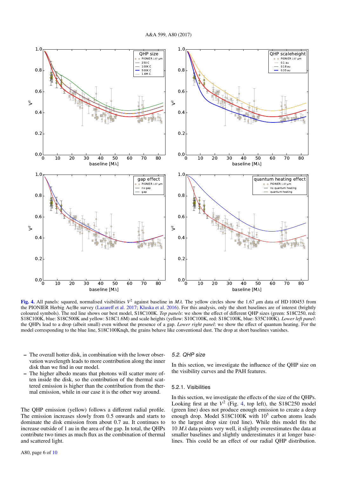

**[Fig. 4.](http://dexter.edpsciences.org/applet.php?DOI=10.1051/0004-6361/201628820&pdf_id=4)** All panels: squared, normalised visibilities  $V^2$  against baseline in *Mλ*. The yellow circles show the 1.67 μm data of HD 100453 from the PIONIER Herbig Ae/Be survey (Lazareff et al. 2017: Kluska et al. 2016) the PIONIER Herbig Ae/Be survey (Lazareff et al. 2017; Kluska et al. 2016). For this analysis, only the short baselines are of interest (brightly coloured symbols). The red line shows our best model, S18C100K. *Top panels*: we show the effect of different QHP sizes (green: S18C250, red: S18C100K, blue: S18C500K and yellow: S18C1.6M) and scale heights (yellow: S10C100K, red: S18C100K, blue: S35C100K). *Lower left panel*: the QHPs lead to a drop (albeit small) even without the presence of a gap. *Lower right panel*: we show the effect of quantum heating. For the model corresponding to the blue line, S18C100Knqh, the grains behave like conventional dust. The drop at short baselines vanishes.

- The overall hotter disk, in combination with the lower observation wavelength leads to more contribution along the inner disk than we find in our model.
- The higher albedo means that photons will scatter more often inside the disk, so the contribution of the thermal scattered emission is higher than the contribution from the thermal emission, while in our case it is the other way around.

The QHP emission (yellow) follows a different radial profile. The emission increases slowly from 0.5 onwards and starts to dominate the disk emission from about 0.7 au. It continues to increase outside of 1 au in the area of the gap. In total, the QHPs contribute two times as much flux as the combination of thermal and scattered light.

### 5.2. QHP size

In this section, we investigate the influence of the QHP size on the visibility curves and the PAH features.

#### 5.2.1. Visibilities

In this section, we investigate the effects of the size of the QHPs. Looking first at the  $V^2$  (Fig. 4, top left), the S18C250 model (green line) does not produce enough emission to create a deep enough drop. Model  $S18C100K$  with  $10<sup>5</sup>$  carbon atoms leads to the largest drop size (red line). While this model fits the  $10 M\lambda$  data points very well, it slightly overestimates the data at smaller baselines and slightly underestimates it at longer baselines. This could be an effect of our radial QHP distribution.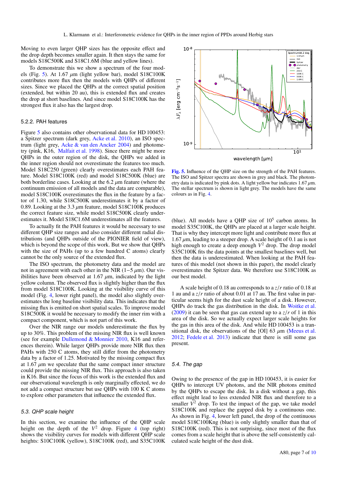Moving to even larger QHP sizes has the opposite effect and the drop depth becomes smaller again. It then stays the same for models S18C500K and S18C1.6M (blue and yellow lines).

To demonstrate this we show a spectrum of the four models (Fig. 5). At 1.67  $\mu$ m (light yellow bar), model S18C100K contributes more flux then the models with QHPs of different sizes. Since we placed the QHPs at the correct spatial position (extended, but within 20 au), this is extended flux and creates the drop at short baselines. And since model S18C100K has the strongest flux it also has the largest drop.

#### 5.2.2. PAH features

Figure 5 also contains other observational data for HD 100453: a Spitzer spectrum (dark grey, Acke et al. 2010), an ISO spectrum (light grey, Acke & van den Ancker 2004) and photometry (pink, K16, Malfait et al. 1998). Since there might be more QHPs in the outer region of the disk, the QHPs we added in the inner region should not overestimate the features too much. Model S18C250 (green) clearly overestimates each PAH feature. Model S18C100K (red) and model S18C500K (blue) are both borderline cases. Looking at the 6.2  $\mu$ m feature (where the continuum emission of all models and the data are comparable), model S18C100K overestimates the flux in the feature by a factor of 1.30, while S18C500K underestimates it by a factor of 0.89. Looking at the 3.3  $\mu$ m feature, model S18C100K produces the correct feature size, while model S18C500K clearly underestimates it. Model S18C1.6M underestimates all the features.

To actually fit the PAH features it would be necessary to use different QHP size ranges and also consider different radial distributions (and QHPs outside of the PIONIER field of view), which is beyond the scope of this work. But we show that QHPs with the size of PAHs (up to a few hundred C atoms) clearly cannot be the only source of the extended flux.

The ISO spectrum, the photometry data and the model are not in agreement with each other in the NIR (1–5  $\mu$ m). Our visibilities have been observed at  $1.67 \mu m$ , indicated by the light yellow column. The observed flux is slightly higher than the flux from model S18C100K. Looking at the visibility curve of this model (Fig. 4, lower right panel), the model also slightly overestimates the long baseline visibility data. This indicates that the missing flux is emitted on short spatial scales. To improve model S18C500K it would be necessary to modify the inner rim with a compact component, which is not part of this work.

Over the NIR range our models underestimate the flux by up to 30%. This problem of the missing NIR flux is well known (see for example Dullemond & Monnier 2010, K16 and references therein). While larger QHPs provide more NIR flux then PAHs with 250 C atoms, they still differ from the photometry data by a factor of 1.25. Motivated by the missing compact flux at  $1.67 \mu m$  we speculate that the same compact inner structure could provide the missing NIR flux. This approach is also taken in K16. But since the focus of this work is the extended flux and our observational wavelength is only marginally effected, we do not add a compact structure but use QHPs with 100 K C atoms to explore other parameters that influence the extended flux.

#### 5.3. QHP scale height

In this section, we examine the influence of the QHP scale height on the depth of the  $V^2$  drop. Figure 4 (top right) shows the visibility curves for models with different QHP scale heights: S10C100K (yellow), S18C100K (red), and S35C100K



[Fig. 5.](http://dexter.edpsciences.org/applet.php?DOI=10.1051/0004-6361/201628820&pdf_id=5) Influence of the OHP size on the strength of the PAH features. The ISO and Spitzer spectra are shown in grey and black. The photometry data is indicated by pink dots. A light yellow bar indicates  $1.67 \mu m$ . The stellar spectrum is shown in light grey. The models have the same colours as in Fig. 4.

(blue). All models have a QHP size of  $10<sup>5</sup>$  carbon atoms. In model S35C100K, the QHPs are placed at a larger scale height. That is why they intercept more light and contribute more flux at  $1.67 \mu$ m, leading to a steeper drop. A scale height of 0.1 au is not high enough to create a deep enough *V* <sup>2</sup> drop. The drop model S35C100K fits the data points at the smallest baselines well, but then the data is underestimated. When looking at the PAH features of this model (not shown in this paper), the model clearly overestimates the Spitzer data. We therefore use S18C100K as our best model.

A scale height of 0.18 au corresponds to a *<sup>z</sup>*/*<sup>r</sup>* ratio of 0.18 at 1 au and a *<sup>z</sup>*/*<sup>r</sup>* ratio of about 0.01 at 17 au. The first value in particular seems high for the dust scale height of a disk. However, QHPs do track the gas distribution in the disk. In Woitke et al. (2009) it can be seen that gas can extend up to a  $z/r$  of 1 in this area of the disk. So we actually expect larger scale heights for the gas in this area of the disk. And while HD 100453 is a transitional disk, the observations of the [OI] 63  $\mu$ m (Meeus et al. 2012; Fedele et al. 2013) indicate that there is still some gas present.

#### 5.4. The gap

Owing to the presence of the gap in HD 100453, it is easier for QHPs to intercept UV photons, and the NIR photons emitted by the QHPs to escape the disk. In a disk without a gap, this effect might lead to less extended NIR flux and therefore to a smaller  $\bar{V}^2$  drop. To test the impact of the gap, we take model S18C100K and replace the gapped disk by a continuous one. As shown in Fig. 4, lower left panel, the drop of the continuous model S18C100Kng (blue) is only slightly smaller than that of S18C100K (red). This is not surprising, since most of the flux comes from a scale height that is above the self-consistently calculated scale height of the dust disk.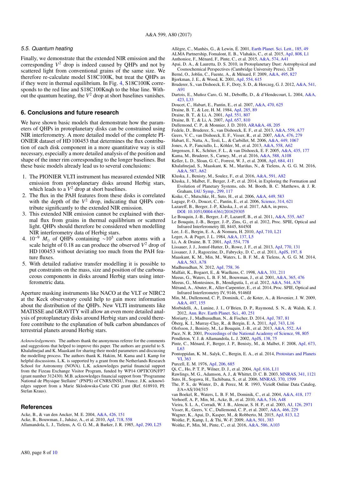#### 5.5. Quantum heating

Finally, we demonstrate that the extended NIR emission and the corresponding  $V^2$  drop is indeed caused by QHPs and not by scattered light from conventional grains of the same size. We therefore re-calculate model S18C100K, but treat the QHPs as if they were in thermal equilibrium. In Fig. 4, S18C100K corresponds to the red line and S18C100Knqh to the blue line. Without the quantum heating, the  $V^2$  drop at short baselines vanishes.

#### **6. Conclusions and future research**

We have shown basic models that demonstrate how the parameters of QHPs in protoplanetary disks can be constrained using NIR interferometry. A more detailed model of the complete PI-ONIER dataset of HD 100453 that determines the flux contribution of each disk component in a more quantitative way is still necessary, especially a more detailed analysis of the position and shape of the inner rim corresponding to the longer baselines. But these basic models already lead us to several conclusions:

- 1. The PIONIER VLTI instrument has measured extended NIR emission from protoplanetary disks around Herbig stars, which leads to a  $V^2$  drop at short baselines.
- 2. The flux in the PAH features from these disks is correlated with the depth of the  $V^2$  drop, indicating that QHPs contribute significantly to the extended NIR emission.
- 3. This extended NIR emission cannot be explained with thermal flux from grains in thermal equilibrium or scattered light. QHPs should therefore be considered when modelling NIR interferometry data of Herbig stars.
- 4. 10<sup>-9</sup>  $M_{\odot}$  of QHPs containing ~10<sup>5</sup> carbon atoms with a scale height of  $0.18$  au can produce the observed  $V^2$  drop of HD 100453 without deviating too much from the PAH feature fluxes.
- 5. With detailed radiative transfer modelling it is possible to put constraints on the mass, size and position of the carbonaceous components in disks around Herbig stars using interferometric data.

Aperture masking instruments like NACO at the VLT or NIRC2 at the Keck observatory could help to gain more information about the distribution of the QHPs. New VLTI instruments like MATISSE and GRAVITY will allow an even more detailed analysis of protoplanetary disks around Herbig stars and could therefore contribute to the explanation of bulk carbon abundances of terrestrial planets around Herbig stars.

*Acknowledgements.* The authors thank the anonymous referee for the comments and suggestions that helped to improve this paper. The authors are grateful to S. Khalafinejad and K. Maaskant for sharing their model parameters and discussing the modelling process. The authors thank K. Hakim, M. Kama and I. Kamp for helpful discussions. L.K. is supported by a grant from the Netherlands Research School for Astronomy (NOVA). L.K. acknowledges partial financial support from the Fizeau Exchange Visitor Program, funded by WP14 OPTICON/FP7 (grant number 312430). M.B. acknowledges financial support from "Programme National de Physique Stellaire" (PNPS) of CNRS/INSU, France. J.K. acknowledges support from a Marie Sklodowska-Curie CIG grant (Ref. 618910, PI: Stefan Kraus).

#### **References**

- Acke, B., & van den Ancker, M. E. 2004, [A&A, 426, 151](http://linker.aanda.org/10.1051/0004-6361/201628820/1) Acke, B., Bouwman, J., Juhász, A., et al. 2010, [ApJ, 718, 558](http://linker.aanda.org/10.1051/0004-6361/201628820/2)
- Allamandola, L. J., Tielens, A. G. G. M., & Barker, J. R. 1985, [ApJ, 290, L25](http://linker.aanda.org/10.1051/0004-6361/201628820/3)
- Allègre, C., Manhès, G., & Lewin, É. 2001, [Earth Planet. Sci. Lett., 185, 49](http://linker.aanda.org/10.1051/0004-6361/201628820/4) ALMA Partnership, Fomalont, E. B., Vlahakis, C., et al. 2015, [ApJ, 808, L1](http://linker.aanda.org/10.1051/0004-6361/201628820/5) Anthonioz, F., Ménard, F., Pinte, C., et al. 2015, [A&A, 574, A41](http://linker.aanda.org/10.1051/0004-6361/201628820/6)
- Apai, D. A., & Lauretta, D. S. 2010, in Protoplanetary Dust: Astrophysical and Cosmochemical Perspectives (Cambridge University Press), 128
- Berné, O., Joblin, C., Fuente, A., & Ménard, F. 2009, [A&A, 495, 827](http://linker.aanda.org/10.1051/0004-6361/201628820/8)
- Bjorkman, J. E., & Wood, K. 2001, [ApJ, 554, 615](http://linker.aanda.org/10.1051/0004-6361/201628820/9)
- Bruderer, S., van Dishoeck, E. F., Doty, S. D., & Herczeg, G. J. 2012, [A&A, 541,](http://linker.aanda.org/10.1051/0004-6361/201628820/10) [A91](http://linker.aanda.org/10.1051/0004-6361/201628820/10)
- Dartois, E., Muñoz Caro, G. M., Deboffle, D., & d'Hendecourt, L. 2004, [A&A,](http://linker.aanda.org/10.1051/0004-6361/201628820/11) [423, L33](http://linker.aanda.org/10.1051/0004-6361/201628820/11)
- Doucet, C., Habart, E., Pantin, E., et al. 2007, [A&A, 470, 625](http://linker.aanda.org/10.1051/0004-6361/201628820/12)
- Draine, B. T., & Lee, H. M. 1984, [ApJ, 285, 89](http://linker.aanda.org/10.1051/0004-6361/201628820/13)
- Draine, B. T., & Li, A. 2001, [ApJ, 551, 807](http://linker.aanda.org/10.1051/0004-6361/201628820/14)
- Draine, B. T., & Li, A. 2007, [ApJ, 657, 810](http://linker.aanda.org/10.1051/0004-6361/201628820/15)
- Dullemond, C. P., & Monnier, J. D. 2010, [ARA&A, 48, 205](http://linker.aanda.org/10.1051/0004-6361/201628820/16)
- Fedele, D., Bruderer, S., van Dishoeck, E. F., et al. 2013, [A&A, 559, A77](http://linker.aanda.org/10.1051/0004-6361/201628820/17)
- Geers, V. C., van Dishoeck, E. F., Visser, R., et al. 2007, [A&A, 476, 279](http://linker.aanda.org/10.1051/0004-6361/201628820/18)
- Habart, E., Natta, A., Testi, L., & Carbillet, M. 2006, [A&A, 449, 1067](http://linker.aanda.org/10.1051/0004-6361/201628820/19)
- Jones, A. P., Fanciullo, L., Köhler, M., et al. 2013, [A&A, 558, A62](http://linker.aanda.org/10.1051/0004-6361/201628820/20)
- Jørgensen, J. K., Schöier, F. L., & van Dishoeck, E. F. 2005, [A&A, 435, 177](http://linker.aanda.org/10.1051/0004-6361/201628820/21)
- Kama, M., Bruderer, S., Carney, M., et al. 2016, [A&A, 588, A108](http://linker.aanda.org/10.1051/0004-6361/201628820/22)
- Keller, L. D., Sloan, G. C., Forrest, W. J., et al. 2008, [ApJ, 684, 411](http://linker.aanda.org/10.1051/0004-6361/201628820/23)
- Khalafinejad, S., Maaskant, K. M., Mariñas, N., & Tielens, A. G. G. M. 2016, [A&A, 587, A62](http://linker.aanda.org/10.1051/0004-6361/201628820/24)
- Kluska, J., Benisty, M., Soulez, F., et al. 2016, [A&A, 591, A82](http://linker.aanda.org/10.1051/0004-6361/201628820/25)
- Kluska, J., Malbet, F., Berger, J.-P., et al. 2014, in Exploring the Formation and Evolution of Planetary Systems, eds. M. Booth, B. C. Matthews, & J. R. Graham, [IAU Symp., 299, 117](http://linker.aanda.org/10.1051/0004-6361/201628820/26)
- Koike, C., Mutschke, H., Suto, H., et al. 2006, [A&A, 449, 583](http://linker.aanda.org/10.1051/0004-6361/201628820/27)
- Lagage, P.-O., Doucet, C., Pantin, E., et al. 2006, [Science, 314, 621](http://linker.aanda.org/10.1051/0004-6361/201628820/28)
- Lazareff, B., Berger, J.-P., Kluska, J., et al. 2017, A&A, in press,
- [DOI: 10.1051](http://dx.doi.org/10.1051/0004-6361/201629305)/0004-6361/201629305
- Le Bouquin, J.-B., Berger, J.-P., Lazareff, B., et al. 2011, [A&A, 535, A67](http://linker.aanda.org/10.1051/0004-6361/201628820/30) Le Bouquin, J.-B., Berger, J.-P., Zins, G., et al. 2012, Proc. SPIE, Optical and
- Infrared Interferometry III, 8445, 84450I
- Lee, J.-E., Bergin, E. A., & Nomura, H. 2010, [ApJ, 710, L21](http://linker.aanda.org/10.1051/0004-6361/201628820/32)
- Leger, A. & Puget, J. L. 1984, [A&A, 137, L5](http://linker.aanda.org/10.1051/0004-6361/201628820/33)
- Li, A. & Draine, B. T. 2001, [ApJ, 554, 778](http://linker.aanda.org/10.1051/0004-6361/201628820/34)
- Lissauer, J. J., Jontof-Hutter, D., Rowe, J. F., et al. 2013, [ApJ, 770, 131](http://linker.aanda.org/10.1051/0004-6361/201628820/35)
- Lissauer, J. J., Ragozzine, D., Fabrycky, D. C., et al. 2011, [ApJS, 197, 8](http://linker.aanda.org/10.1051/0004-6361/201628820/36)
- Maaskant, K. M., Min, M., Waters, L. B. F. M., & Tielens, A. G. G. M. 2014, [A&A, 563, A78](http://linker.aanda.org/10.1051/0004-6361/201628820/37)
- Madhusudhan, N. 2012, [ApJ, 758, 36](http://linker.aanda.org/10.1051/0004-6361/201628820/38)
- Malfait, K., Bogaert, E., & Waelkens, C. 1998, [A&A, 331, 211](http://linker.aanda.org/10.1051/0004-6361/201628820/39)
- Meeus, G., Waters, L. B. F. M., Bouwman, J., et al. 2001, [A&A, 365, 476](http://linker.aanda.org/10.1051/0004-6361/201628820/40)
- Meeus, G., Montesinos, B., Mendigutía, I., et al. 2012, [A&A, 544, A78](http://linker.aanda.org/10.1051/0004-6361/201628820/41)
- Mérand, A., Abuter, R., Aller-Carpentier, E., et al. 2014, Proc. SPIE, Optical and Infrared Interferometry IV, 9146, 91460J
- Min, M., Dullemond, C. P., Dominik, C., de Koter, A., & Hovenier, J. W. 2009, [A&A, 497, 155](http://linker.aanda.org/10.1051/0004-6361/201628820/43)
- Morbidelli, A., Lunine, J. I., O'Brien, D. P., Raymond, S. N., & Walsh, K. J. 2012, [Ann. Rev. Earth Planet. Sci., 40, 251](http://linker.aanda.org/10.1051/0004-6361/201628820/44)
- Moriarty, J., Madhusudhan, N., & Fischer, D. 2014, [ApJ, 787, 81](http://linker.aanda.org/10.1051/0004-6361/201628820/45)
- Öberg, K. I., Murray-Clay, R., & Bergin, E. A. 2011, [ApJ, 743, L16](http://linker.aanda.org/10.1051/0004-6361/201628820/46)
- Olofsson, J., Benisty, M., Le Bouquin, J.-B., et al. 2013, [A&A, 552, A4](http://linker.aanda.org/10.1051/0004-6361/201628820/47)
- Pace, N. R. 2001, [Proceedings of the National Academy of Science, 98, 805](http://linker.aanda.org/10.1051/0004-6361/201628820/48)
- Pendleton, Y. J. & Allamandola, L. J. 2002, [ApJS, 138, 75](http://linker.aanda.org/10.1051/0004-6361/201628820/49)
- Pinte, C., Ménard, F., Berger, J. P., Benisty, M., & Malbet, F. 2008, [ApJ, 673,](http://linker.aanda.org/10.1051/0004-6361/201628820/50) [L63](http://linker.aanda.org/10.1051/0004-6361/201628820/50)
- Pontoppidan, K. M., Salyk, C., Bergin, E. A., et al. 2014, [Protostars and Planets](http://linker.aanda.org/10.1051/0004-6361/201628820/51) [VI, 363](http://linker.aanda.org/10.1051/0004-6361/201628820/51)
- Purcell, E. M. 1976, [ApJ, 206, 685](http://linker.aanda.org/10.1051/0004-6361/201628820/52)
- Qi, C., Ho, P. T. P., Wilner, D. J., et al. 2004, [ApJ, 616, L11](http://linker.aanda.org/10.1051/0004-6361/201628820/53)
- Rawlings, M. G., Adamson, A. J., & Whittet, D. C. B. 2003, [MNRAS, 341, 1121](http://linker.aanda.org/10.1051/0004-6361/201628820/54)
- Suto, H., Sogawa, H., Tachibana, S., et al. 2006, [MNRAS, 370, 1599](http://linker.aanda.org/10.1051/0004-6361/201628820/55)
- The, P. S., de Winter, D., & Perez, M. R. 1993, VizieR Online Data Catalog, J/A+AS/104/315
- van Boekel, R., Waters, L. B. F. M., Dominik, C., et al. 2004, [A&A, 418, 177](http://linker.aanda.org/10.1051/0004-6361/201628820/57)
- Verhoeff, A. P., Min, M., Acke, B., et al. 2010, [A&A, 516, A48](http://linker.aanda.org/10.1051/0004-6361/201628820/58)
- Vieira, S. L. A., Corradi, W. J. B., Alencar, S. H. P., et al. 2003, [AJ, 126, 2971](http://linker.aanda.org/10.1051/0004-6361/201628820/59)
- Visser, R., Geers, V. C., Dullemond, C. P., et al. 2007, [A&A, 466, 229](http://linker.aanda.org/10.1051/0004-6361/201628820/60)
- Wagner, K., Apai, D., Kasper, M., & Robberto, M. 2015, [ApJ, 813, L2](http://linker.aanda.org/10.1051/0004-6361/201628820/61)
- Woitke, P., Kamp, I., & Thi, W.-F. 2009, [A&A, 501, 383](http://linker.aanda.org/10.1051/0004-6361/201628820/62) Woitke, P., Min, M., Pinte, C., et al. 2016, [A&A, 586, A103](http://linker.aanda.org/10.1051/0004-6361/201628820/63)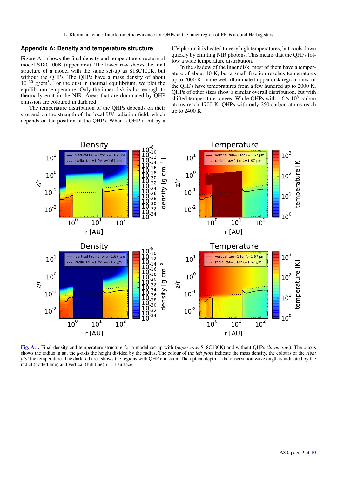L. Klarmann et al.: Interferometric evidence for QHPs in the inner region of PPDs around Herbig stars

#### **Appendix A: Density and temperature structure**

Figure A.1 shows the final density and temperature structure of model S18C100K (upper row). The lower row shows the final structure of a model with the same set-up as S18C100K, but without the QHPs. The QHPs have a mass density of about  $10^{-20}$  g/cm<sup>3</sup>. For the dust in thermal equilibrium, we plot the equilibrium temperature. Only the inner disk is hot enough to equilibrium temperature. Only the inner disk is hot enough to thermally emit in the NIR. Areas that are dominated by QHP emission are coloured in dark red.

The temperature distribution of the QHPs depends on their size and on the strength of the local UV radiation field, which depends on the position of the QHPs. When a QHP is hit by a UV photon it is heated to very high temperatures, but cools down quickly by emitting NIR photons. This means that the QHPs follow a wide temperature distribution.

In the shadow of the inner disk, most of them have a temperature of about 10 K, but a small fraction reaches temperatures up to 2000 K. In the well-illuminated upper disk region, most of the QHPs have temepratures from a few hundred up to 2000 K. QHPs of other sizes show a similar overall distribution, but with shifted temperature ranges. While QHPs with  $1.6 \times 10^6$  carbon<br>atoms reach 1700 K. OHPs with only 250 carbon atoms reach atoms reach 1700 K, QHPs with only 250 carbon atoms reach up to 2400 K.



[Fig. A.1.](http://dexter.edpsciences.org/applet.php?DOI=10.1051/0004-6361/201628820&pdf_id=6) Final density and temperature structure for a model set-up with (*upper row*, S18C100K) and without QHPs (*lower row*). The *x*-axis shows the radius in au, the y-axis the height divided by the radius. The colour of the *left plots* indicate the mass density, the colours of the *right plot* the temperature. The dark red area shows the regions with QHP emission. The optical depth at the observation wavelength is indicated by the radial (dotted line) and vertical (full line)  $\tau = 1$  surface.